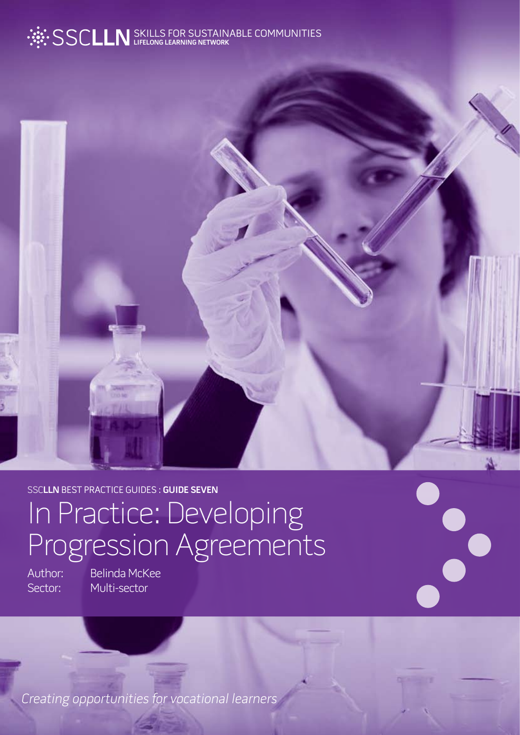### SKILLS FOR SUSTAINABLE COMMUNITIES **LIFELONG LEARNING NETWORK**



SSC**LLN** BEST PRACTICE GUIDES : **GUIDE SEVEN**

# In Practice: Developing Progression Agreements

Author: Belinda McKee Sector: Multi-sector

Creating opportunities for vocational learners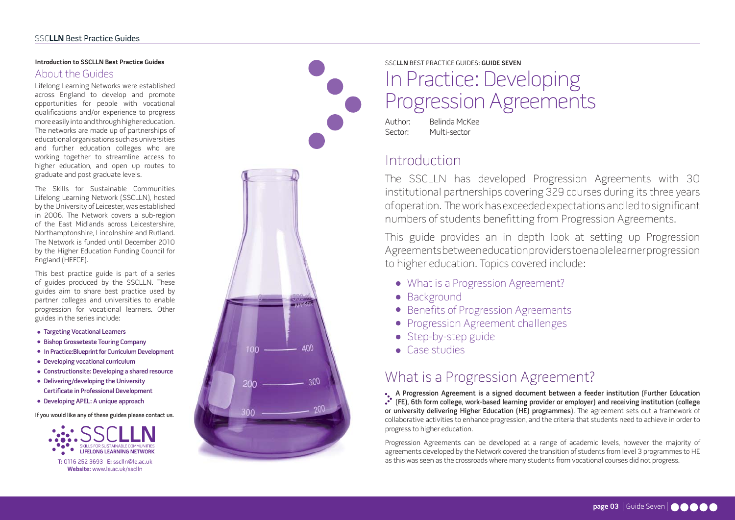Lifelong Learning Networks were established across England to develop and promote opportunities for people with vocational qualifications and/or experience to progress more easily into and through higher education. The networks are made up of partnerships of educational organisations such as universities and further education colleges who are working together to streamline access to higher education, and open up routes to graduate and post graduate levels.

The Skills for Sustainable Communities Lifelong Learning Network (SSCLLN), hosted by the University of Leicester, was established in 2006. The Network covers a sub-region of the East Midlands across Leicestershire, Northamptonshire, Lincolnshire and Rutland. The Network is funded until December 2010 by the Higher Education Funding Council for England (HEFCE).

Author: BelindaMcKee Sector: Multi-sector

This best practice guide is part of a series of guides produced by the SSCLLN. These guides aim to share best practice used by partner colleges and universities to enable progression for vocational learners. Other guides in the series include:

- What is a Progression Agreement?
- Background
- Benefits of Progression Agreements
- **Progression Agreement challenges**
- Step-by-step guide
- **Case studies**
- Targeting Vocational Learners
- **Bishop Grosseteste Touring Company**
- **In Practice: Blueprint for Curriculum Development**
- Developing vocational curriculum
- Constructionsite: Developing a shared resource
- Delivering/developing the University Certificate in Professional Development
- Developing APEL: A unique approach

If you would like any of these guides please contact us.



In Practice: Developing Progression Agreements

SSC**LLN** BEST PRACTICE GUIDES: **GUIDE SEVEN**

Progression Agreements can be developed at a range of academic levels, however the majority of agreements developed by the Network covered the transition of students from level 3 programmes to HE as this was seen as the crossroads where many students from vocational courses did not progress.

## About the Guides

## **Introduction to SSCLLN Best Practice Guides**

**T:** 0116 252 3693 **E:** ssclln@le.ac.uk **Website:** www.le.ac.uk/ssclln





# Introduction

The SSCLLN has developed Progression Agreements with 30 institutional partnerships covering 329 courses during its three years of operation. The work has exceeded expectations and led to significant numbers of students benefitting from Progression Agreements.

This guide provides an in depth look at setting up Progression Agreements between education providers to enable learner progression to higher education. Topics covered include:

# What is a Progression Agreement?

A Progression Agreement is a signed document between a feeder institution (Further Education (FE), 6th form college, work-based learning provider or employer) and receiving institution (college or university delivering Higher Education (HE) programmes). The agreement sets out a framework of collaborative activities to enhance progression, and the criteria that students need to achieve in order to progress to higher education.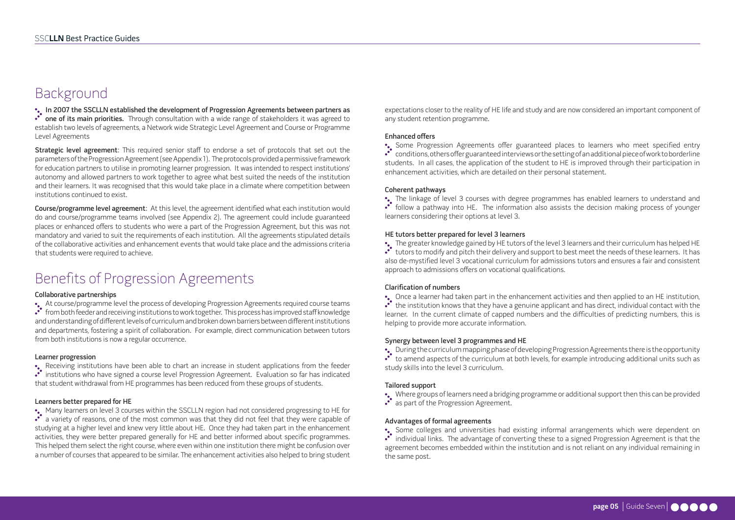# Background

•. In 2007 the SSCLLN established the development of Progression Agreements between partners as . \*\* one of its main priorities. Through consultation with a wide range of stakeholders it was agreed to establish two levels of agreements, a Network wide Strategic Level Agreement and Course or Programme Level Agreements

Strategic level agreement: This required senior staff to endorse a set of protocols that set out the parameters of the Progression Agreement (see Appendix 1). The protocols provided a permissive framework for education partners to utilise in promoting learner progression. It was intended to respect institutions' autonomy and allowed partners to work together to agree what best suited the needs of the institution and their learners. It was recognised that this would take place in a climate where competition between institutions continued to exist.

•. Receiving institutions have been able to chart an increase in student applications from the feeder institutions who have signed a course level Progression Agreement. Evaluation so far has indicated that student withdrawal from HE programmes has been reduced from these groups of students.

Course/programme level agreement: At this level, the agreement identified what each institution would do and course/programme teams involved (see Appendix 2). The agreement could include guaranteed places or enhanced offers to students who were a part of the Progression Agreement, but this was not mandatory and varied to suit the requirements of each institution. All the agreements stipulated details of the collaborative activities and enhancement events that would take place and the admissions criteria that students were required to achieve.

# Benefits of Progression Agreements

#### Collaborative partnerships

•• Some Progression Agreements offer guaranteed places to learners who meet specified entry conditions, others offer guaranteed interviews or the setting of an additional piece of work to borderline students. In all cases, the application of the student to HE is improved through their participation in enhancement activities, which are detailed on their personal statement.

At course/programme level the process of developing Progression Agreements required course teams from both feeder and receiving institutions to work together. This process has improved staff knowledge and understanding of different levels of curriculum and broken down barriers between different institutions and departments, fostering a spirit of collaboration. For example, direct communication between tutors from both institutions is now a regular occurrence.

•. The linkage of level 3 courses with degree programmes has enabled learners to understand and follow a pathway into HE. The information also assists the decision making process of younger learners considering their options at level 3.

#### Learner progression

#### Learners better prepared for HE

Many learners on level 3 courses within the SSCLLN region had not considered progressing to HE for a variety of reasons, one of the most common was that they did not feel that they were capable of studying at a higher level and knew very little about HE. Once they had taken part in the enhancement activities, they were better prepared generally for HE and better informed about specific programmes. This helped them select the right course, where even within one institution there might be confusion over a number of courses that appeared to be similar. The enhancement activities also helped to bring student expectations closer to the reality of HE life and study and are now considered an important component of any student retention programme.

#### Enhanced offers

#### Coherent pathways

#### HE tutors better prepared for level 3 learners

The greater knowledge gained by HE tutors of the level 3 learners and their curriculum has helped HE tutors to modify and pitch their delivery and support to best meet the needs of these learners. It has also de-mystified level 3 vocational curriculum for admissions tutors and ensures a fair and consistent approach to admissions offers on vocational qualifications.

#### Clarification of numbers

Once a learner had taken part in the enhancement activities and then applied to an HE institution, the institution knows that they have a genuine applicant and has direct, individual contact with the learner. In the current climate of capped numbers and the difficulties of predicting numbers, this is helping to provide more accurate information.

#### Synergy between level 3 programmes and HE

During the curriculum mapping phase of developing Progression Agreements there is the opportunity to amend aspects of the curriculum at both levels, for example introducing additional units such as

study skills into the level 3 curriculum.

#### Tailored support

Where groups of learners need a bridging programme or additional support then this can be provided

as part of the Progression Agreement.

#### Advantages of formal agreements

Some colleges and universities had existing informal arrangements which were dependent on individual links. The advantage of converting these to a signed Progression Agreement is that the agreement becomes embedded within the institution and is not reliant on any individual remaining in the same post.

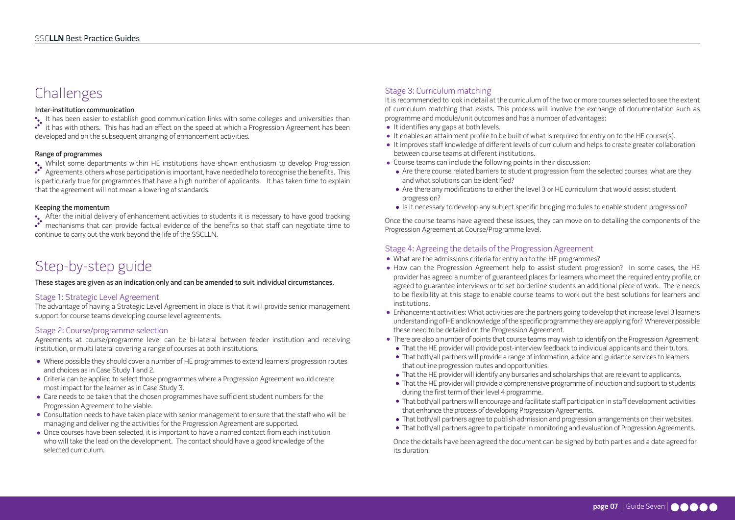# Challenges

#### Inter-institution communication

It has been easier to establish good communication links with some colleges and universities than it has with others. This has had an effect on the speed at which a Progression Agreement has been developed and on the subsequent arranging of enhancement activities.

#### Range of programmes

•. After the initial delivery of enhancement activities to students it is necessary to have good tracking mechanisms that can provide factual evidence of the benefits so that staff can negotiate time to continue to carry out the work beyond the life of the SSCLLN.

Whilst some departments within HE institutions have shown enthusiasm to develop Progression Agreements, others whose participation is important, have needed help to recognise the benefits. This is particularly true for programmes that have a high number of applicants. It has taken time to explain that the agreement will not mean a lowering of standards.

#### Keeping the momentum

# Step-by-step guide

These stages are given as an indication only and can be amended to suit individual circumstances.

### Stage 1: Strategic Level Agreement

The advantage of having a Strategic Level Agreement in place is that it will provide senior management support for course teams developing course level agreements.

### Stage 2: Course/programme selection

Agreements at course/programme level can be bi-lateral between feeder institution and receiving institution, or multi lateral covering a range of courses at both institutions.

- Where possible they should cover a number of HE programmes to extend learners' progression routes and choices as in Case Study 1 and 2.
- Criteria can be applied to select those programmes where a Progression Agreement would create most impact for the learner as in Case Study 3.
- Care needs to be taken that the chosen programmes have sufficient student numbers for the Progression Agreement to be viable.
- Consultation needs to have taken place with senior management to ensure that the staff who will be managing and delivering the activities for the Progression Agreement are supported.
- Once courses have been selected, it is important to have a named contact from each institution who will take the lead on the development. The contact should have a good knowledge of the selected curriculum.

### Stage 3: Curriculum matching

It is recommended to look in detail at the curriculum of the two or more courses selected to see the extent of curriculum matching that exists. This process will involve the exchange of documentation such as programme and module/unit outcomes and has a number of advantages:

- It identifies any gaps at both levels.
- It improves staff knowledge of different levels of curriculum and helps to create greater collaboration between course teams at different institutions.
- Course teams can include the following points in their discussion:
	- Are there course related barriers to student progression from the selected courses, what are they and what solutions can be identified?
	- Are there any modifications to either the level 3 or HE curriculum that would assist student progression?
	- Is it necessary to develop any subject specific bridging modules to enable student progression?

It enables an attainment profile to be built of what is required for entry on to the HE course(s).

Once the course teams have agreed these issues, they can move on to detailing the components of the Progression Agreement at Course/Programme level.

### Stage 4: Agreeing the details of the Progression Agreement

- What are the admissions criteria for entry on to the HE programmes?
- How can the Progression Agreement help to assist student progression? In some cases, the HE provider has agreed a number of guaranteed places for learners who meet the required entry profile, or agreed to guarantee interviews or to set borderline students an additional piece of work. There needs to be flexibility at this stage to enable course teams to work out the best solutions for learners and institutions.
- Enhancement activities: What activities are the partners going to develop that increase level 3 learners understanding of HE and knowledge of the specific programme they are applying for? Wherever possible these need to be detailed on the Progression Agreement.
- There are also a number of points that course teams may wish to identify on the Progression Agreement:
	-
- That both/all partners will provide a range of information, advice and guidance services to learners that outline progression routes and opportunities.
- That the HE provider will provide a comprehensive programme of induction and support to students during the first term of their level 4 programme.
- That both/all partners will encourage and facilitate staff participation in staff development activities that enhance the process of developing Progression Agreements.
- That both/all partners agree to publish admission and progression arrangements on their websites.
- That both/all partners agree to participate in monitoring and evaluation of Progression Agreements.

That the HE provider will provide post-interview feedback to individual applicants and their tutors.

That the HE provider will identify any bursaries and scholarships that are relevant to applicants.

## page 07 | Guide Seven | **4 6 6 6 6 6**

Once the details have been agreed the document can be signed by both parties and a date agreed for its duration.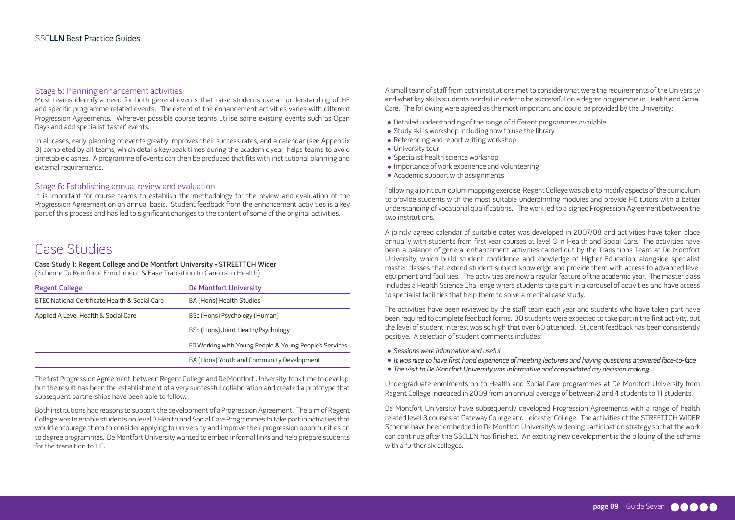## Case Studies

Case Study 1: Regent College and De Montfort University - STREETTCH Wider

(Scheme To Reinforce Enrichment & Ease Transition to Careers in Health)

| <b>Regent College</b>                          | <b>De Montfort University</b>                          |  |
|------------------------------------------------|--------------------------------------------------------|--|
| BTEC National Certificate Health & Social Care | BA (Hons) Health Studies                               |  |
| Applied A Level Health & Social Care           | BSc (Hons) Psychology (Human)                          |  |
|                                                | BSc (Hons) Joint Health/Psychology                     |  |
|                                                | FD Working with Young People & Young People's Services |  |
|                                                | BA (Hons) Youth and Community Development              |  |

The first Progression Agreement, between Regent College and De Montfort University, took time to develop, but the result has been the establishment of a very successful collaboration and created a prototype that subsequent partnerships have been able to follow.

Both institutions had reasons to support the development of a Progression Agreement. The aim of Regent Collegewas to enable students on level 3Health and Social Care Programmes to take partin activities that would encourage them to consider applying to university and improve their progression opportunities on to degree programmes. De Montfort University wanted to embed informal links and help prepare students for the transition to HE.

### Stage 5: Planning enhancement activities

Most teams identify a need for both general events that raise students overall understanding of HE and specific programme related events. The extent of the enhancement activities varies with different Progression Agreements. Wherever possible course teams utilise some existing events such as Open Days and add specialist 'taster' events.

In all cases, early planning of events greatly improves their success rates, and a calendar (see Appendix 3) completed by all teams, which details key/peak times during the academic year, helps teams to avoid timetable clashes. A programme of events can then be produced that fits with institutional planning and external requirements.

### Stage 6: Establishing annual review and evaluation

It is important for course teams to establish the methodology for the review and evaluation of the Progression Agreement on an annual basis. Student feedback from the enhancement activities is a key part of this process and has led to significant changes to the content of some of the original activities.

A small team of staff from both institutions met to consider what were the requirements of the University and what key skills students needed in order to be successful on a degree programme in Health and Social Care. The following were agreed as the most important and could be provided by the University:

- Detailed understanding of the range of different programmes available
- Study skills workshop including how to use the library
- Referencing and report writing workshop
- **·** University tour
- Specialist health science workshop
- Importance of work experience and volunteering
- Academic support with assignments

Following a joint curriculum mapping exercise, Regent College was able to modify aspects of the curriculum to provide students with the most suitable underpinning modules and provide HE tutors with a better understanding of vocational qualifications. The work led to a signed Progression Agreement between the two institutions.

A jointly agreed calendar of suitable dates was developed in 2007/08 and activities have taken place annually with students from first year courses at level 3 in Health and Social Care. The activities have been a balance of general enhancement activities carried out by the Transitions Team at De Montfort University, which build student confidence and knowledge of Higher Education, alongside specialist master classes that extend student subject knowledge and provide them with access to advanced level equipment and facilities. The activities are now a regular feature of the academic year. The master class includes a Health Science Challenge where students take part in a carousel of activities and have access to specialist facilities that help them to solve a medical case study.

The activities have been reviewed by the staff team each year and students who have taken part have been required to complete feedback forms. 30 students were expected to take part in the first activity, but the level of student interest was so high that over 60 attended. Student feedback has been consistently positive. A selection of student comments includes:

- Sessions were informative and useful
- It was nice to have first hand experience of meeting lecturers and having questions answered face-to-face
- The visit to De Montfort University was informative and consolidated my decision making

Undergraduate enrolments on to Health and Social Care programmes at De Montfort University from Regent College increased in 2009 from an annual average of between 2 and 4 students to 11 students.

De Montfort University have subsequently developed Progression Agreements with a range of health related level 3 courses at Gateway College and Leicester College. The activities of the STREETTCH WIDER Scheme have been embedded in De Montfort University's widening participation strategy so that the work can continue after the SSCLLN has finished. An exciting new development is the piloting of the scheme with a further six colleges.

### page 09 | Guide Seven | **O O O O O**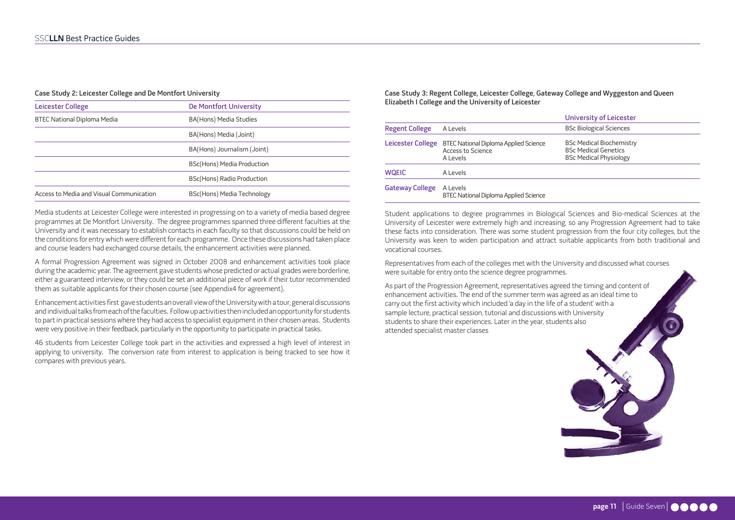#### Case Study 2: Leicester College and De Montfort University

| <b>Leicester College</b>                 | <b>De Montfort University</b> |
|------------------------------------------|-------------------------------|
| <b>BTEC National Diploma Media</b>       | BA(Hons) Media Studies        |
|                                          | BA(Hons) Media (Joint)        |
|                                          | BA(Hons) Journalism (Joint)   |
|                                          | BSc(Hons) Media Production    |
|                                          | BSc(Hons) Radio Production    |
| Access to Media and Visual Communication | BSc(Hons) Media Technology    |

Media students at Leicester College were interested in progressing on to a variety of media based degree programmes at De Montfort University. The degree programmes spanned three different faculties at the University and it was necessary to establish contacts in each faculty so that discussions could be held on the conditions for entry which were different for each programme. Once these discussions had taken place and course leaders had exchanged course details, the enhancement activities were planned.

Enhancement activities first gave students an overall view of the University with a tour, general discussions and individual talks from each of the faculties. Follow up activities then included an opportunity for students to part in practical sessions where they had access to specialist equipment in their chosen areas. Students were very positive in their feedback, particularly in the opportunity to participate in practical tasks.

A formal Progression Agreement was signed in October 2008 and enhancement activities took place during the academic year. The agreement gave students whose predicted or actual grades were borderline, either a guaranteed interview, or they could be set an additional piece of work if their tutor recommended them as suitable applicants for their chosen course (see Appendix4 for agreement).

46 students from Leicester College took part in the activities and expressed a high level of interest in applying to university. The conversion rate from interest to application is being tracked to see how it compares with previous years.

Case Study 3: Regent College, Leicester College, Gateway College and Wyggeston and Queen Elizabeth I College and the University of Leicester

Student applications to degree programmes in Biological Sciences and Bio-medical Sciences at the University of Leicester were extremely high and increasing, so any Progression Agreement had to take these facts into consideration. There was some student progression from the four city colleges, but the University was keen to widen participation and attract suitable applicants from both traditional and vocational courses.

Representatives from each of the colleges met with the University and discussed what courses were suitable for entry onto the science degree programmes.

| <b>Regent College</b>  | A Levels                                                                             |
|------------------------|--------------------------------------------------------------------------------------|
| Leicester College      | <b>BTEC National Diploma Applied Science</b><br><b>Access to Science</b><br>A Levels |
| <b>WQEIC</b>           | A Levels                                                                             |
| <b>Gateway College</b> | A Levels<br><b>BTEC National Diploma Applied Science</b>                             |

As part of the Progression Agreement, representatives agreed the timing and content of enhancement activities. The end of the summer term was agreed as an ideal time to carry out the first activity which included 'a day in the life of a student' with a sample lecture, practical session, tutorial and discussions with University students to share their experiences. Later in the year, students also attended specialist master classes

BSc Biological Sciences

BSc Medical Biochemistry BSc Medical Genetics BSc Medical Physiology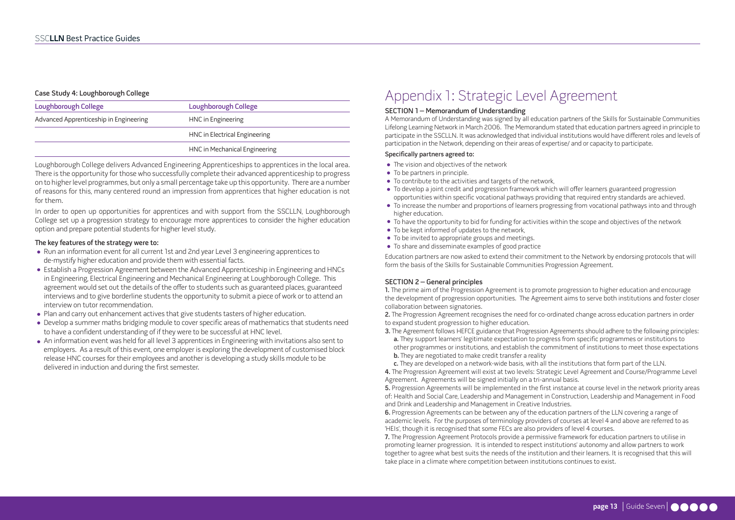In order to open up opportunities for apprentices and with support from the SSCLLN, Loughborough College set up a progression strategy to encourage more apprentices to consider the higher education option and prepare potential students for higher level study.

#### The key features of the strategy were to:

- Run an information event for all current 1st and 2nd year Level 3 engineering apprentices to de-mystify higher education and provide them with essential facts.
- Establish a Progression Agreement between the Advanced Apprenticeship in Engineering and HNCs in Engineering, Electrical Engineering and Mechanical Engineering at Loughborough College. This agreement would set out the details of the offer to students such as guaranteed places, guaranteed interviews and to give borderline students the opportunity to submit a piece of work or to attend an interview on tutor recommendation.
- Plan and carry out enhancement actives that give students tasters of higher education.
- Develop a summer maths bridging module to cover specific areas of mathematics that students need to have a confident understanding of if they were to be successful at HNC level.
- An information event was held for all level 3 apprentices in Engineering with invitations also sent to employers. As a result of this event, one employer is exploring the development of customised block release HNC courses for their employees and another is developing a study skills module to be delivered in induction and during the first semester.

#### Case Study 4: Loughborough College

| <b>Loughborough College</b>            | <b>Loughborough College</b>   |  |  |
|----------------------------------------|-------------------------------|--|--|
| Advanced Apprenticeship in Engineering | HNC in Engineering            |  |  |
|                                        | HNC in Electrical Engineering |  |  |
|                                        | HNC in Mechanical Engineering |  |  |

- The vision and objectives of the network
- To be partners in principle.
- To contribute to the activities and targets of the network,
- To develop a joint credit and progression framework which will offer learners guaranteed progression opportunities within specific vocational pathways providing that required entry standards are achieved.
- To increase the number and proportions of learners progressing from vocational pathways into and through higher education.
- To have the opportunity to bid for funding for activities within the scope and objectives of the network
- To be kept informed of updates to the network,
- To be invited to appropriate groups and meetings.
- To share and disseminate examples of good practice

Loughborough College delivers Advanced Engineering Apprenticeships to apprentices in the local area. There is the opportunity for those who successfully complete their advanced apprenticeship to progress on to higher level programmes, but only a small percentage take up this opportunity. There are a number of reasons for this, many centered round an impression from apprentices that higher education is not for them.

> 2. The Progression Agreement recognises the need for co-ordinated change across education partners in order to expand student progression to higher education.

- 3. The Agreement follows HEFCE guidance that Progression Agreements should adhere to the following principles:
	-
	-
	- **b.** They are negotiated to make credit transfer a reality

# Appendix 1: Strategic Level Agreement

#### SECTION 1 – Memorandum of Understanding

A Memorandum of Understanding was signed by all education partners of the Skills for Sustainable Communities Lifelong Learning Network in March 2006. The Memorandum stated that education partners agreed in principle to participate in the SSCLLN. It was acknowledged that individual institutions would have different roles and levels of participation in the Network, depending on their areas of expertise/ and or capacity to participate.

#### Specifically partners agreed to:

Education partners are now asked to extend their commitment to the Network by endorsing protocols that will form the basis of the Skills for Sustainable Communities Progression Agreement.

#### SECTION 2 – General principles

1. The prime aim of the Progression Agreement is to promote progression to higher education and encourage the development of progression opportunities. The Agreement aims to serve both institutions and foster closer collaboration between signatories.

a. They support learners' legitimate expectation to progress from specific programmes or institutions to other programmes or institutions, and establish the commitment of institutions to meet those expectations

c. They are developed on a network-wide basis, with all the institutions that form part of the LLN. 4. The Progression Agreement will exist at two levels: Strategic Level Agreement and Course/Programme Level Agreement. Agreements will be signed initially on a tri-annual basis. 5. Progression Agreements will be implemented in the first instance at course level in the network priority areas of: Health and Social Care, Leadership and Management in Construction, Leadership and Management in Food and Drink and Leadership and Management in Creative Industries. 6. Progression Agreements can be between any of the education partners of the LLN covering a range of academic levels. For the purposes of terminology providers of courses at level 4 and above are referred to as 'HEIs', though it is recognised that some FECs are also providers of level 4 courses. 7. The Progression Agreement Protocols provide a permissive framework for education partners to utilise in promoting learner progression. It is intended to respect institutions' autonomy and allow partners to work together to agree what best suits the needs of the institution and their learners. It is recognised that this will take place in a climate where competition between institutions continues to exist.

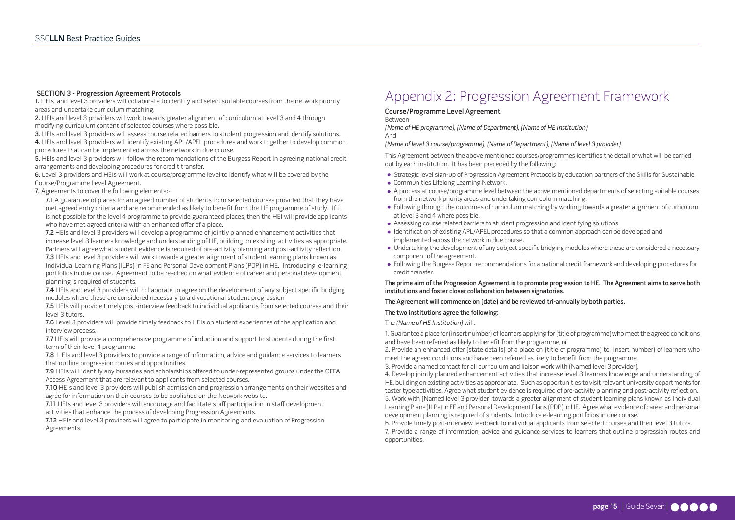#### SECTION 3 - Progression Agreement Protocols

1. HEIs and level 3 providers will collaborate to identify and select suitable courses from the network priority areas and undertake curriculum matching.

2. HEIs and level 3 providers will work towards greater alignment of curriculum at level 3 and 4 through modifying curriculum content of selected courses where possible.

3. HEIs and level 3 providers will assess course related barriers to student progression and identify solutions.

4. HEIs and level 3 providers will identify existing APL/APEL procedures and work together to develop common procedures that can be implemented across the network in due course.

7.1 A guarantee of places for an agreed number of students from selected courses provided that they have met agreed entry criteria and are recommended as likely to benefit from the HE programme of study. If it is not possible for the level 4 programme to provide guaranteed places, then the HEI will provide applicants who have met agreed criteria with an enhanced offer of a place.

5. HEIs and level 3 providers will follow the recommendations of the Burgess Report in agreeing national credit arrangements and developing procedures for credit transfer.

7.2 HEIs and level 3 providers will develop a programme of jointly planned enhancement activities that increase level 3 learners knowledge and understanding of HE, building on existing activities as appropriate. Partners will agree what student evidence is required of pre-activity planning and post-activity reflection.

6. Level 3 providers and HEIs will work at course/programme level to identify what will be covered by the Course/Programme Level Agreement.

7. Agreements to cover the following elements:-

7.4 HEIs and level 3 providers will collaborate to agree on the development of any subject specific bridging modules where these are considered necessary to aid vocational student progression

7.5 HEIs will provide timely post-interview feedback to individual applicants from selected courses and their level 3 tutors.

7.6 Level 3 providers will provide timely feedback to HEIs on student experiences of the application and interview process.

7.7 HEIs will provide a comprehensive programme of induction and support to students during the first term of their level 4 programme

7.8 HEIs and level 3 providers to provide a range of information, advice and guidance services to learners that outline progression routes and opportunities.

7.9 HEIs will identify any bursaries and scholarships offered to under-represented groups under the OFFA Access Agreement that are relevant to applicants from selected courses.

7.10 HEIs and level 3 providers will publish admission and progression arrangements on their websites and agree for information on their courses to be published on the Network website.

7.11 HEIs and level 3 providers will encourage and facilitate staff participation in staff development activities that enhance the process of developing Progression Agreements.

7.12 HEIs and level 3 providers will agree to participate in monitoring and evaluation of Progression Agreements.

7.3 HEIs and level 3 providers will work towards a greater alignment of student learning plans known as Individual Learning Plans (ILPs) in FE and Personal Development Plans (PDP) in HE. Introducing e-learning portfolios in due course. Agreement to be reached on what evidence of career and personal development planning is required of students.

The prime aim of the Progression Agreement is to promote progression to HE. The Agreement aims to serve both institutions and foster closer collaboration between signatories.

# Appendix 2: Progression Agreement Framework

### Course/Programme Level Agreement

Between

(Name of HE programme), (Name of Department), (Name of HE Institution) And

(Name of level 3 course/programme), (Name of Department), (Name of level 3 provider)

This Agreement between the above mentioned courses/programmes identifies the detail of what will be carried out by each institution. It has been preceded by the following:

- Strategic level sign-up of Progression Agreement Protocols by education partners of the Skills for Sustainable
- Communities Lifelong Learning Network.
- A process at course/programme level between the above mentioned departments of selecting suitable courses from the network priority areas and undertaking curriculum matching.
- Following through the outcomes of curriculum matching by working towards a greater alignment of curriculum at level 3 and 4 where possible.
- Assessing course related barriers to student progression and identifying solutions.
- Identification of existing APL/APEL procedures so that a common approach can be developed and implemented across the network in due course.
- Undertaking the development of any subject specific bridging modules where these are considered a necessary component of the agreement.
- Following the Burgess Report recommendations for a national credit framework and developing procedures for credit transfer.

### The Agreement will commence on (date) and be reviewed tri-annually by both parties.

#### The two institutions agree the following:

#### The (Name of HE Institution) will:

1. Guarantee a place for (insert number) of learners applying for (title of programme) who meet the agreed conditions and have been referred as likely to benefit from the programme, or 2. Provide an enhanced offer (state details) of a place on (title of programme) to (insert number) of learners who meet the agreed conditions and have been referred as likely to benefit from the programme. 3. Provide a named contact for all curriculum and liaison work with (Named level 3 provider). 4. Develop jointly planned enhancement activities that increase level 3 learners knowledge and understanding of HE, building on existing activities as appropriate. Such as opportunities to visit relevant university departments for taster type activities. Agree what student evidence is required of pre-activity planning and post-activity reflection. 5. Work with (Named level 3 provider) towards a greater alignment of student learning plans known as Individual Learning Plans (ILPs) in FE and Personal Development Plans (PDP) in HE. Agree what evidence of career and personal development planning is required of students. Introduce e-learning portfolios in due course. 6. Provide timely post-interview feedback to individual applicants from selected courses and their level 3 tutors. 7. Provide a range of information, advice and guidance services to learners that outline progression routes and opportunities.

## page 15 Guide Seven **COOOO**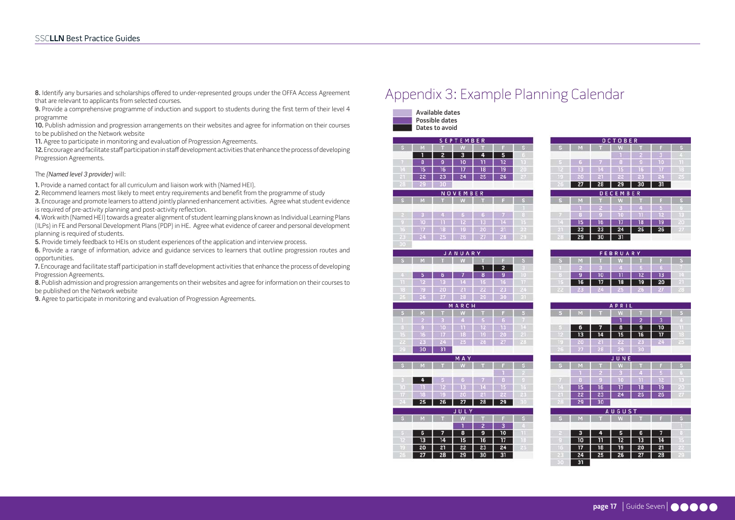8. Identify any bursaries and scholarships offered to under-represented groups under the OFFA Access Agreement that are relevant to applicants from selected courses.

10. Publish admission and progression arrangements on their websites and agree for information on their courses to be published on the Network website

9. Provide a comprehensive programme of induction and support to students during the first term of their level 4 programme

12. Encourage and facilitate staff participation in staff development activities that enhance the process of developing Progression Agreements.

11. Agree to participate in monitoring and evaluation of Progression Agreements.

3. Encourage and promote learners to attend jointly planned enhancement activities. Agree what student evidence is required of pre-activity planning and post-activity reflection.

4. Work with (Named HEI) towards a greater alignment of student learning plans known as Individual Learning Plans (ILPs) in FE and Personal Development Plans (PDP) in HE. Agree what evidence of career and personal development planning is required of students.

The (Named level 3 provider) will:

1. Provide a named contact for all curriculum and liaison work with (Named HEI).

2. Recommend learners most likely to meet entry requirements and benefit from the programme of study

8. Publish admission and progression arrangements on their websites and agree for information on their courses to be published on the Network website

5. Provide timely feedback to HEIs on student experiences of the application and interview process.

6. Provide a range of information, advice and guidance services to learners that outline progression routes and opportunities.

7. Encourage and facilitate staff participation in staff development activities that enhance the process of developing Progression Agreements.

9. Agree to participate in monitoring and evaluation of Progression Agreements.

## Appendix 3: Example Planning Calendar

Available dates Possible dates Dates to avoid

|                         |                 | SEPT            | EMBER                   |          |          |                         |
|-------------------------|-----------------|-----------------|-------------------------|----------|----------|-------------------------|
| $\overline{s}$          | M               | и               | w                       | U        | F        | $\overline{\mathbf{s}}$ |
|                         | 1               | 2               | 3                       | 4        | 5        | ċ,                      |
|                         | 8               | 9               | 10                      | 11       | 12       | E                       |
| 14                      | 15              | 16              | 17                      | 18       | 19       | 20                      |
| 21                      | 22              | 23              | 24                      | 25       | 26       | 27                      |
| 26                      | 29              | 30              |                         |          |          |                         |
|                         |                 |                 | NOVEMBER                |          |          |                         |
| $\overline{\mathbf{s}}$ | $\overline{M}$  |                 | w                       | Ш        | F        | $\overline{\mathbf{s}}$ |
|                         |                 |                 |                         |          |          |                         |
| в                       | 3               | $\overline{4}$  | 5                       | 6        | 7        | B                       |
| 9                       | 10              | H               | 12                      | 13       | 14       | Ŀ                       |
| 16                      | 17              | 18              | 19                      | 20       | 21       | āR.                     |
| 23                      | $\overline{24}$ | 25              | 26                      | 27       | 28       | 29                      |
| 30                      |                 |                 |                         |          |          |                         |
|                         |                 |                 | <b>JANUARY</b>          |          |          |                         |
| $\overline{\mathbf{s}}$ | $\overline{M}$  | ū               | W                       | Ū        | F        | $\overline{\mathbf{s}}$ |
|                         |                 |                 |                         | Q        | 2        | а                       |
| g,                      | 5               | 6               | 7                       | 8        | 9        | I                       |
| П                       | 12              | 13              | 14                      | 15       | 16       | W                       |
| 18                      | 19              | 20              | 21                      | 22       | 23       | 24                      |
| 25                      | 26              | 27              | 28                      | 29       | 30       | 31                      |
|                         |                 | M               | ARCH                    |          |          |                         |
| $\overline{\mathbf{s}}$ | M               | ū               | N                       | ū        | G        | $\overline{\mathbf{s}}$ |
|                         | 2               | 3               | 4                       | 5        | 6        | o                       |
| 8                       | 9               | 10              | 11                      | 12       | 13       | Ţ.                      |
| 15                      | 16              | 17              | 18                      | 19       | 20       | 21                      |
| ąр,                     | 23              | 24              | 25                      | 26       | 27       | 28                      |
| 29                      | 30              | 31              |                         |          |          |                         |
|                         |                 |                 | MAY                     |          |          |                         |
| $\overline{\mathbf{s}}$ | M               | T               | W                       | T        | F        | S                       |
|                         |                 |                 |                         |          | ٦        | 2                       |
|                         | 4               | 5               | 6                       | 7        | 8        | 9                       |
| 10                      |                 |                 |                         |          |          |                         |
|                         | Π               | 12              | 13                      | 14       | 15       | I.                      |
| Ù.                      | 18              | 19              | 20                      | 21       | 22       | 23                      |
| $\overline{2}$          | 25              | 26              | 27                      | 28       | 29       | 30                      |
|                         |                 |                 | ULY<br>J                |          |          |                         |
| $\overline{\mathbf{s}}$ | $\overline{M}$  | T               | W                       | ū        | F        | $\overline{\mathbf{s}}$ |
|                         |                 |                 | ī                       | 2        | 3        |                         |
|                         | 6               | 7               | $\overline{\mathbf{8}}$ | 9        | 10       | H                       |
| R                       | 13              | $\overline{14}$ | $\overline{15}$         | 16       | 17       | 18                      |
| E                       | 20              | 21<br>28        | 22                      | 23<br>30 | 24<br>31 | 25                      |

|              |    |    | OCTOBER         |                |    |    |
|--------------|----|----|-----------------|----------------|----|----|
| s            | M  | U  | W               | Ū              | а  | S  |
|              |    |    |                 | $\overline{z}$ | 3  | L) |
| $\mathbf{5}$ | 6  |    | в               | 9              | 10 | n  |
| 12           | 13 | 14 | 15              | 16             | 17 | Œ  |
| TE.          | 20 | 21 | 22              | 23             | 24 | 25 |
| 26           | 27 | 28 | 29              | 30             | 31 |    |
|              |    |    | <b>DECEMBER</b> |                |    |    |
| S            | M  | n  | W               | ü              | в  | S  |
|              |    | 2  | з               | 4              | 5  | 6  |
| 78           | 8  | 9  | 10              | n              | 12 | T. |
| 14           | 15 | 16 | 17              | 18             | 19 | 20 |
| 21           | 22 | 23 | 24              | 25             | 26 | 27 |
| 28           | 29 | 30 | 31              |                |    |    |

|    |    |     | <b>FEBRUARY</b> |    |    |    |
|----|----|-----|-----------------|----|----|----|
| 3  |    |     | w               |    |    |    |
|    |    |     |                 |    | п  |    |
|    |    | 10  |                 | 12 | 13 |    |
| 15 | 16 |     | 18              | 19 | 20 |    |
| юĸ |    | g p | н               |    |    | 리수 |

|                         |    |                | APRIL         |    |    |                         |
|-------------------------|----|----------------|---------------|----|----|-------------------------|
| $\overline{\mathbf{s}}$ | M  | п              | v             |    | F  | S                       |
|                         |    |                | 1             | 2  | 3  | Ð                       |
| в                       | 6  | 7              | 8             | 9  | 10 | u                       |
| T.                      | 13 | 14             | 15            | 16 | 17 | TG                      |
| 19                      | 20 | 21             | 22            | 23 | 24 | 25                      |
| 25                      | 27 | 28             | 29            | 30 |    |                         |
|                         |    |                | JUNE          |    |    |                         |
| S                       | M  | Π              | W             | п  | F  | $\overline{\mathbf{s}}$ |
|                         |    | $\overline{a}$ | в             | 4  | 5  | 6                       |
| 7                       | 8  | 9              | 10            | U  | 12 | ПE                      |
| 14                      | 15 | 16             | 17            | 18 | 19 | 20                      |
| R                       | 22 | 23             | 24            | 25 | 26 | 27                      |
| 28                      | 29 | 30             |               |    |    |                         |
|                         |    |                | <b>AUGUST</b> |    |    |                         |
| S                       | M  | п              | W             | н  | E  | S                       |
|                         |    |                |               |    |    |                         |
| R                       | 3  | 4              | 5             | 6  | 7  | ε                       |
| E.                      | 10 | π              | 12            | 13 | 14 | 15                      |
| 16                      | 17 | 18             | 19            | 20 | 21 | 22                      |
| 23                      | 24 | 25             | 26            | 27 | 28 | 25                      |
| 30                      | 31 |                |               |    |    |                         |

### page 17 Guide Seven  $\bigcirc$  **6 6 6 6**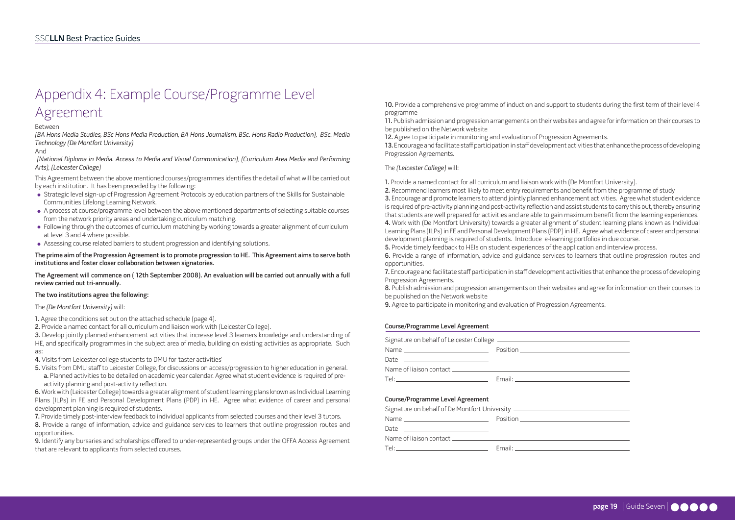10. Provide a comprehensive programme of induction and support to students during the first term of their level 4 programme

11. Publish admission and progression arrangements on their websites and agree for information on their courses to be published on the Network website

12. Agree to participate in monitoring and evaluation of Progression Agreements. 13. Encourage and facilitate staff participation in staff development activities that enhance the process of developing Progression Agreements.

The (Leicester College) will:

8. Publish admission and progression arrangements on their websites and agree for information on their courses to be published on the Network website

1. Provide a named contact for all curriculum and liaison work with (De Montfort University). 2. Recommend learners most likely to meet entry requirements and benefit from the programme of study 3. Encourage and promote learners to attend jointly planned enhancement activities. Agree what student evidence is required of pre-activity planning and post-activity reflection and assist students to carry this out, thereby ensuring that students are well prepared for activities and are able to gain maximum benefit from the learning experiences. 4. Work with (De Montfort University) towards a greater alignment of student learning plans known as Individual Learning Plans (ILPs) in FE and Personal Development Plans (PDP) in HE. Agree what evidence of career and personal development planning is required of students. Introduce e-learning portfolios in due course. 5. Provide timely feedback to HEIs on student experiences of the application and interview process. 6. Provide a range of information, advice and guidance services to learners that outline progression routes and opportunities.

7. Encourage and facilitate staff participation in staff development activities that enhance the process of developing Progression Agreements.

#### The prime aim of the Progression Agreement is to promote progression to HE. This Agreement aims to serve both institutions and foster closer collaboration between signatories.

9. Agree to participate in monitoring and evaluation of Progression Agreements.

#### Course/Programme Level Agreement

| Signature on behalf of Leicester College ______________ |                                                                                                                                                                                                                                |
|---------------------------------------------------------|--------------------------------------------------------------------------------------------------------------------------------------------------------------------------------------------------------------------------------|
|                                                         | Position ____________                                                                                                                                                                                                          |
|                                                         |                                                                                                                                                                                                                                |
| Name of liaison contact ___________                     |                                                                                                                                                                                                                                |
|                                                         | Fmail: Email: Email: Email: Email: Email: Email: Email: Email: Email: Email: Email: Email: Email: Email: Email: Email: Email: Email: Email: Email: Email: Email: Email: Email: Email: Email: Email: Email: Email: Email: Email |

#### Course/Programme Level Agreement

| Signature on behalf of De Montfort University _____________                                                                                                                                                                    |                       |
|--------------------------------------------------------------------------------------------------------------------------------------------------------------------------------------------------------------------------------|-----------------------|
|                                                                                                                                                                                                                                | Position ____________ |
| Date and the contract of the contract of the contract of the contract of the contract of the contract of the contract of the contract of the contract of the contract of the contract of the contract of the contract of the c |                       |
|                                                                                                                                                                                                                                |                       |
| Tel: Telestration of the contract of the contract of the contract of the contract of the contract of the contract of the contract of the contract of the contract of the contract of the contract of the contract of the contr | Email: ____________   |

## page 19 Guide Seven **@@@@@**

# Appendix 4: Example Course/Programme Level Agreement

#### Between

6. Work with (Leicester College) towards a greater alignment of student learning plans known as Individual Learning Plans (ILPs) in FE and Personal Development Plans (PDP) in HE. Agree what evidence of career and personal development planning is required of students.

(BA Hons Media Studies, BSc Hons Media Production, BA Hons Journalism, BSc. Hons Radio Production), BSc. Media Technology (De Montfort University)

8. Provide a range of information, advice and guidance services to learners that outline progression routes and opportunities.

#### And

(National Diploma in Media. Access to Media and Visual Communication), (Curriculum Area Media and Performing Arts), (Leicester College)

This Agreement between the above mentioned courses/programmes identifies the detail of what will be carried out by each institution. It has been preceded by the following:

- Strategic level sign-up of Progression Agreement Protocols by education partners of the Skills for Sustainable Communities Lifelong Learning Network.
- A process at course/programme level between the above mentioned departments of selecting suitable courses from the network priority areas and undertaking curriculum matching.
- Following through the outcomes of curriculum matching by working towards a greater alignment of curriculum at level 3 and 4 where possible.
- Assessing course related barriers to student progression and identifying solutions.

The Agreement will commence on ( 12th September 2008). An evaluation will be carried out annually with a full review carried out tri-annually.

#### The two institutions agree the following:

The (De Montfort University) will:

1. Agree the conditions set out on the attached schedule (page 4).

2. Provide a named contact for all curriculum and liaison work with (Leicester College).

3. Develop jointly planned enhancement activities that increase level 3 learners knowledge and understanding of HE, and specifically programmes in the subject area of media, building on existing activities as appropriate. Such as:

4. Visits from Leicester college students to DMU for 'taster activities'

5. Visits from DMU staff to Leicester College, for discussions on access/progression to higher education in general. a. Planned activities to be detailed on academic year calendar. Agree what student evidence is required of preactivity planning and post-activity reflection.

7. Provide timely post-interview feedback to individual applicants from selected courses and their level 3 tutors.

9. Identify any bursaries and scholarships offered to under-represented groups under the OFFA Access Agreement that are relevant to applicants from selected courses.